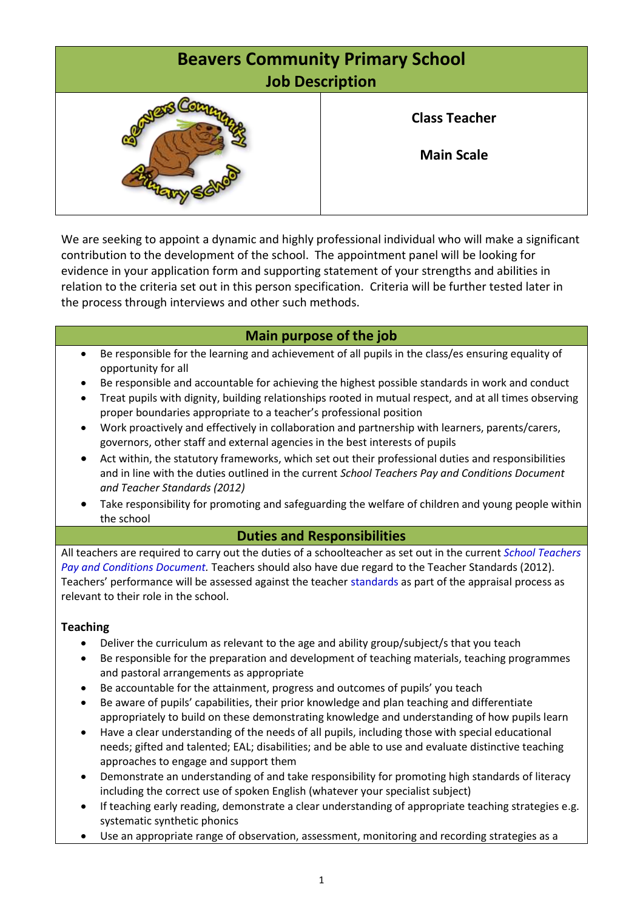

We are seeking to appoint a dynamic and highly professional individual who will make a significant contribution to the development of the school. The appointment panel will be looking for evidence in your application form and supporting statement of your strengths and abilities in relation to the criteria set out in this person specification. Criteria will be further tested later in the process through interviews and other such methods.

# **Main purpose of the job**

- Be responsible for the learning and achievement of all pupils in the class/es ensuring equality of opportunity for all
- Be responsible and accountable for achieving the highest possible standards in work and conduct
- Treat pupils with dignity, building relationships rooted in mutual respect, and at all times observing proper boundaries appropriate to a teacher's professional position
- Work proactively and effectively in collaboration and partnership with learners, parents/carers, governors, other staff and external agencies in the best interests of pupils
- Act within, the statutory frameworks, which set out their professional duties and responsibilities and in line with the duties outlined in the current *School Teachers Pay and Conditions Document and Teacher Standards (2012)*
- Take responsibility for promoting and safeguarding the welfare of children and young people within the school

## **Duties and Responsibilities**

All teachers are required to carry out the duties of a schoolteacher as set out in the current *[School Teachers](https://www.education.gov.uk/publications/)  [Pay and Conditions](https://www.education.gov.uk/publications/) Document.* Teachers should also have due regard to the Teacher Standards (2012). Teachers' performance will be assessed against the teacher [standards](https://www.education.gov.uk/publications/standard/publicationDetail/Page1/DFE-00066-2011) as part of the appraisal process as relevant to their role in the school.

### **Teaching**

- Deliver the curriculum as relevant to the age and ability group/subject/s that you teach
- Be responsible for the preparation and development of teaching materials, teaching programmes and pastoral arrangements as appropriate
- Be accountable for the attainment, progress and outcomes of pupils' you teach
- Be aware of pupils' capabilities, their prior knowledge and plan teaching and differentiate appropriately to build on these demonstrating knowledge and understanding of how pupils learn
- Have a clear understanding of the needs of all pupils, including those with special educational needs; gifted and talented; EAL; disabilities; and be able to use and evaluate distinctive teaching approaches to engage and support them
- Demonstrate an understanding of and take responsibility for promoting high standards of literacy including the correct use of spoken English (whatever your specialist subject)
- If teaching early reading, demonstrate a clear understanding of appropriate teaching strategies e.g. systematic synthetic phonics
- Use an appropriate range of observation, assessment, monitoring and recording strategies as a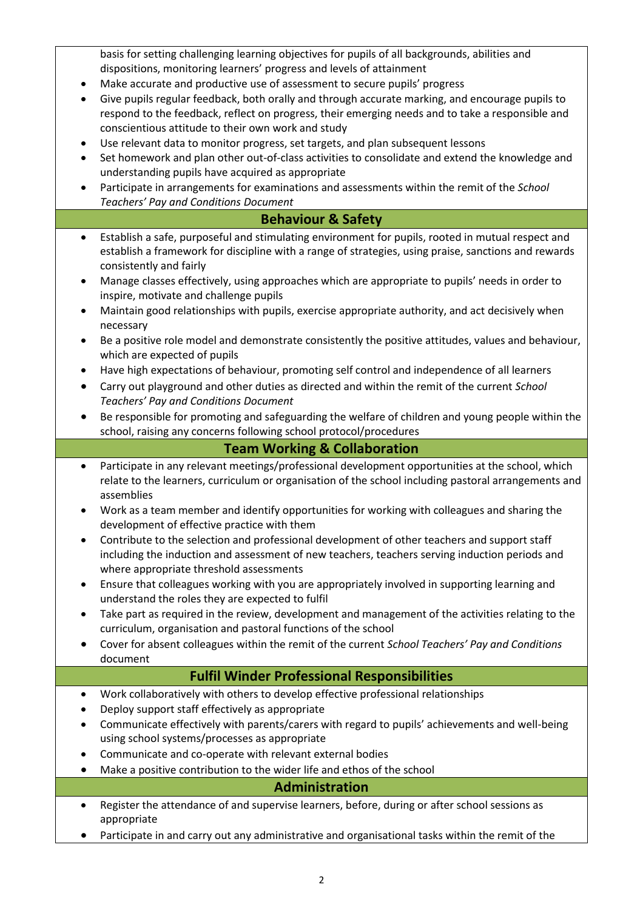basis for setting challenging learning objectives for pupils of all backgrounds, abilities and dispositions, monitoring learners' progress and levels of attainment

- Make accurate and productive use of assessment to secure pupils' progress
- Give pupils regular feedback, both orally and through accurate marking, and encourage pupils to respond to the feedback, reflect on progress, their emerging needs and to take a responsible and conscientious attitude to their own work and study
- Use relevant data to monitor progress, set targets, and plan subsequent lessons
- Set homework and plan other out-of-class activities to consolidate and extend the knowledge and understanding pupils have acquired as appropriate
- Participate in arrangements for examinations and assessments within the remit of the *School Teachers' Pay and Conditions Document*

## **Behaviour & Safety**

- Establish a safe, purposeful and stimulating environment for pupils, rooted in mutual respect and establish a framework for discipline with a range of strategies, using praise, sanctions and rewards consistently and fairly
- Manage classes effectively, using approaches which are appropriate to pupils' needs in order to inspire, motivate and challenge pupils
- Maintain good relationships with pupils, exercise appropriate authority, and act decisively when necessary
- Be a positive role model and demonstrate consistently the positive attitudes, values and behaviour, which are expected of pupils
- Have high expectations of behaviour, promoting self control and independence of all learners
- Carry out playground and other duties as directed and within the remit of the current *School Teachers' Pay and Conditions Document*
- Be responsible for promoting and safeguarding the welfare of children and young people within the school, raising any concerns following school protocol/procedures

# **Team Working & Collaboration**

- Participate in any relevant meetings/professional development opportunities at the school, which relate to the learners, curriculum or organisation of the school including pastoral arrangements and assemblies
- Work as a team member and identify opportunities for working with colleagues and sharing the development of effective practice with them
- Contribute to the selection and professional development of other teachers and support staff including the induction and assessment of new teachers, teachers serving induction periods and where appropriate threshold assessments
- Ensure that colleagues working with you are appropriately involved in supporting learning and understand the roles they are expected to fulfil
- Take part as required in the review, development and management of the activities relating to the curriculum, organisation and pastoral functions of the school
- Cover for absent colleagues within the remit of the current *School Teachers' Pay and Conditions* document

# **Fulfil Winder Professional Responsibilities**

- Work collaboratively with others to develop effective professional relationships
- Deploy support staff effectively as appropriate
- Communicate effectively with parents/carers with regard to pupils' achievements and well-being using school systems/processes as appropriate
- Communicate and co-operate with relevant external bodies
- Make a positive contribution to the wider life and ethos of the school

### **Administration**

- Register the attendance of and supervise learners, before, during or after school sessions as appropriate
- Participate in and carry out any administrative and organisational tasks within the remit of the